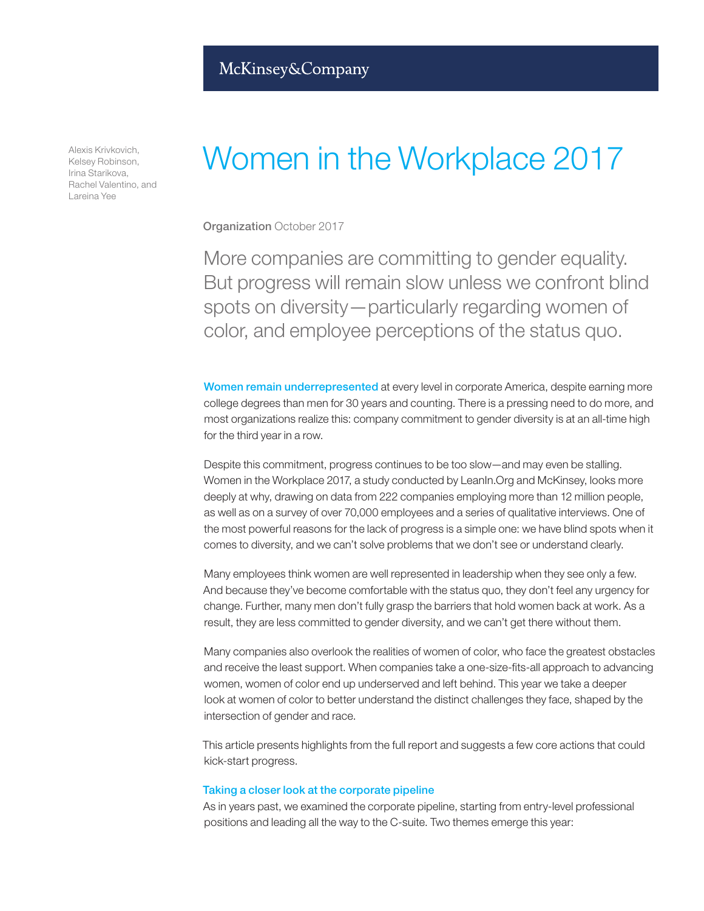Kelsey Robinson, Irina Starikova, Rachel Valentino, and Lareina Yee

# Alexis Krivkovich,<br>Kelsey Robinson, **Women in the Workplace 2017**

Organization October 2017

More companies are committing to gender equality. But progress will remain slow unless we confront blind spots on diversity—particularly regarding women of color, and employee perceptions of the status quo.

Women remain underrepresented at every level in corporate America, despite earning more college degrees than men for 30 years and counting. There is a pressing need to do more, and most organizations realize this: company commitment to gender diversity is at an all-time high for the third year in a row.

Despite this commitment, progress continues to be too slow—and may even be stalling. Women in the Workplace 2017, a study conducted by LeanIn.Org and McKinsey, looks more deeply at why, drawing on data from 222 companies employing more than 12 million people, as well as on a survey of over 70,000 employees and a series of qualitative interviews. One of the most powerful reasons for the lack of progress is a simple one: we have blind spots when it comes to diversity, and we can't solve problems that we don't see or understand clearly.

Many employees think women are well represented in leadership when they see only a few. And because they've become comfortable with the status quo, they don't feel any urgency for change. Further, many men don't fully grasp the barriers that hold women back at work. As a result, they are less committed to gender diversity, and we can't get there without them.

Many companies also overlook the realities of women of color, who face the greatest obstacles and receive the least support. When companies take a one-size-fits-all approach to advancing women, women of color end up underserved and left behind. This year we take a deeper look at women of color to better understand the distinct challenges they face, shaped by the intersection of gender and race.

This article presents highlights from the full report and suggests a few core actions that could kick-start progress.

# Taking a closer look at the corporate pipeline

As in years past, we examined the corporate pipeline, starting from entry-level professional positions and leading all the way to the C-suite. Two themes emerge this year: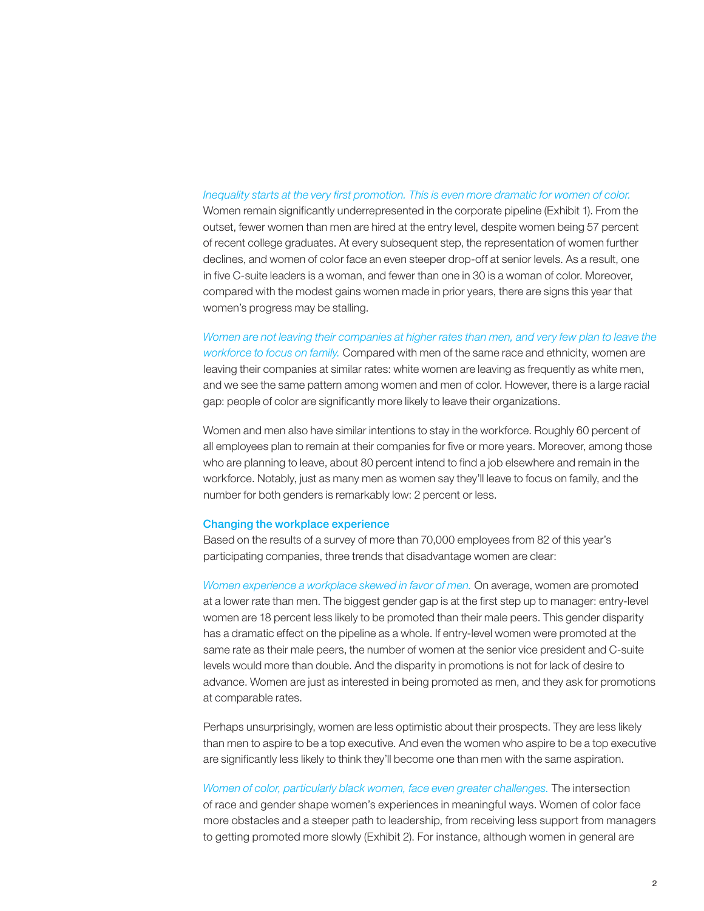## *Inequality starts at the very first promotion. This is even more dramatic for women of color.*

Women remain significantly underrepresented in the corporate pipeline (Exhibit 1). From the outset, fewer women than men are hired at the entry level, despite women being 57 percent of recent college graduates. At every subsequent step, the representation of women further declines, and women of color face an even steeper drop-off at senior levels. As a result, one in five C-suite leaders is a woman, and fewer than one in 30 is a woman of color. Moreover, compared with the modest gains women made in prior years, there are signs this year that women's progress may be stalling.

# *Women are not leaving their companies at higher rates than men, and very few plan to leave the workforce to focus on family.* Compared with men of the same race and ethnicity, women are leaving their companies at similar rates: white women are leaving as frequently as white men, and we see the same pattern among women and men of color. However, there is a large racial gap: people of color are significantly more likely to leave their organizations.

Women and men also have similar intentions to stay in the workforce. Roughly 60 percent of all employees plan to remain at their companies for five or more years. Moreover, among those who are planning to leave, about 80 percent intend to find a job elsewhere and remain in the workforce. Notably, just as many men as women say they'll leave to focus on family, and the number for both genders is remarkably low: 2 percent or less.

#### Changing the workplace experience

Based on the results of a survey of more than 70,000 employees from 82 of this year's participating companies, three trends that disadvantage women are clear:

*Women experience a workplace skewed in favor of men.* On average, women are promoted at a lower rate than men. The biggest gender gap is at the first step up to manager: entry-level women are 18 percent less likely to be promoted than their male peers. This gender disparity has a dramatic effect on the pipeline as a whole. If entry-level women were promoted at the same rate as their male peers, the number of women at the senior vice president and C-suite levels would more than double. And the disparity in promotions is not for lack of desire to advance. Women are just as interested in being promoted as men, and they ask for promotions at comparable rates.

Perhaps unsurprisingly, women are less optimistic about their prospects. They are less likely than men to aspire to be a top executive. And even the women who aspire to be a top executive are significantly less likely to think they'll become one than men with the same aspiration.

*Women of color, particularly black women, face even greater challenges.* The intersection of race and gender shape women's experiences in meaningful ways. Women of color face more obstacles and a steeper path to leadership, from receiving less support from managers to getting promoted more slowly (Exhibit 2). For instance, although women in general are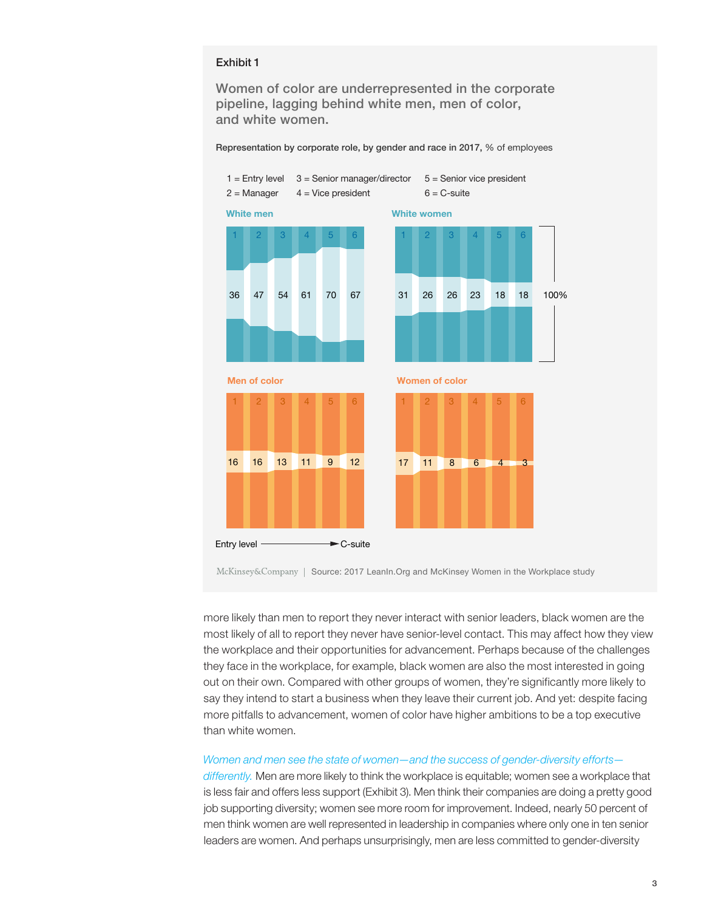# Exhibit 1

pipeline, lagging behind white men, men of color, and white women.



Representation by corporate role, by gender and race in 2017, % of employees

McKinsey&Company | Source: 2017 LeanIn. Org and McKinsey Women in the Workplace study

more likely than men to report they never interact with senior leaders, black women are the most likely of all to report they never have senior-level contact. This may affect how they view the workplace and their opportunities for advancement. Perhaps because of the challenges they face in the workplace, for example, black women are also the most interested in going out on their own. Compared with other groups of women, they're significantly more likely to say they intend to start a business when they leave their current job. And yet: despite facing more pitfalls to advancement, women of color have higher ambitions to be a top executive than white women.

# *Women and men see the state of women—and the success of gender-diversity efforts—*

*differently.* Men are more likely to think the workplace is equitable; women see a workplace that is less fair and offers less support (Exhibit 3). Men think their companies are doing a pretty good job supporting diversity; women see more room for improvement. Indeed, nearly 50 percent of men think women are well represented in leadership in companies where only one in ten senior leaders are women. And perhaps unsurprisingly, men are less committed to gender-diversity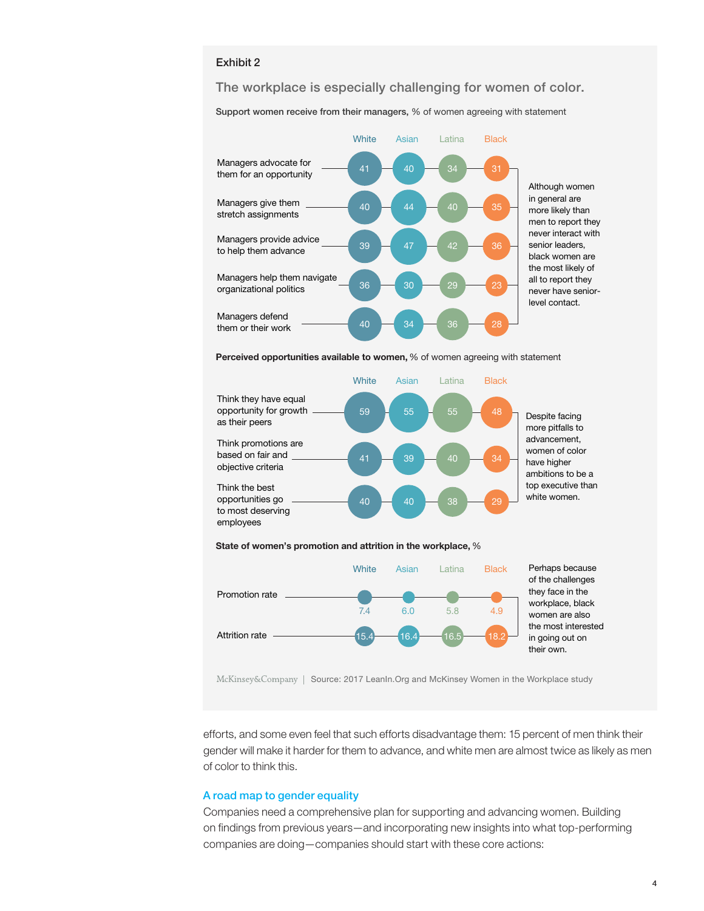## Exhibit 2

Support women receive from their managers, % of women agreeing with statement



Perceived opportunities available to women, % of women agreeing with statement



#### State of women's promotion and attrition in the workplace, %



Perhaps because of the challenges they face in the workplace, black women are also the most interested in going out on their own.

McKinsey&Company | Source: 2017 LeanIn.Org and McKinsey Women in the Workplace study

efforts, and some even feel that such efforts disadvantage them: 15 percent of men think their gender will make it harder for them to advance, and white men are almost twice as likely as men of color to think this.

# A road map to gender equality

Companies need a comprehensive plan for supporting and advancing women. Building on findings from previous years—and incorporating new insights into what top-performing companies are doing—companies should start with these core actions: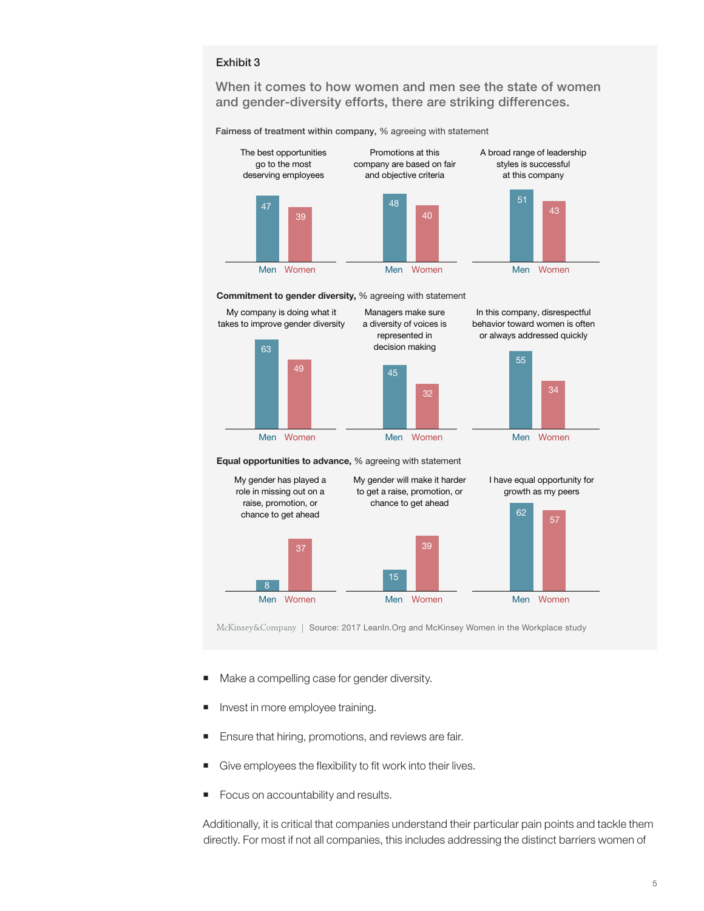## Exhibit 3

When it comes to how women and men see the state of women and gender-diversity efforts, there are striking differences.

Fairness of treatment within company, % agreeing with statement



McKinsey&Company | Source: 2017 LeanIn. Org and McKinsey Women in the Workplace study

- Make a compelling case for gender diversity.
- Invest in more employee training.
- Ensure that hiring, promotions, and reviews are fair.
- Give employees the flexibility to fit work into their lives.
- Focus on accountability and results.

Additionally, it is critical that companies understand their particular pain points and tackle them directly. For most if not all companies, this includes addressing the distinct barriers women of